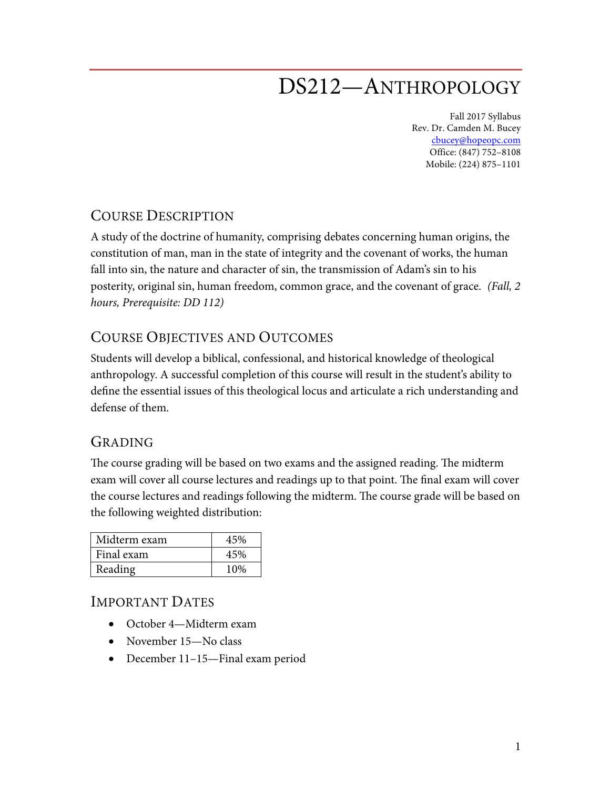# DS212—ANTHROPOLOGY

Fall 2017 Syllabus Rev. Dr. Camden M. Bucey cbucey@hopeopc.com Office: (847) 752–8108 Mobile: (224) 875–1101

## COURSE DESCRIPTION

A study of the doctrine of humanity, comprising debates concerning human origins, the constitution of man, man in the state of integrity and the covenant of works, the human fall into sin, the nature and character of sin, the transmission of Adam's sin to his posterity, original sin, human freedom, common grace, and the covenant of grace. *(Fall, 2 hours, Prerequisite: DD 112)* 

## COURSE OBJECTIVES AND OUTCOMES

Students will develop a biblical, confessional, and historical knowledge of theological anthropology. A successful completion of this course will result in the student's ability to define the essential issues of this theological locus and articulate a rich understanding and defense of them.

## GRADING

The course grading will be based on two exams and the assigned reading. The midterm exam will cover all course lectures and readings up to that point. The final exam will cover the course lectures and readings following the midterm. The course grade will be based on the following weighted distribution:

| Midterm exam | 45% |
|--------------|-----|
| Final exam   | 45% |
| Reading      | 10% |

#### IMPORTANT DATES

- October 4—Midterm exam
- November 15—No class
- December 11–15—Final exam period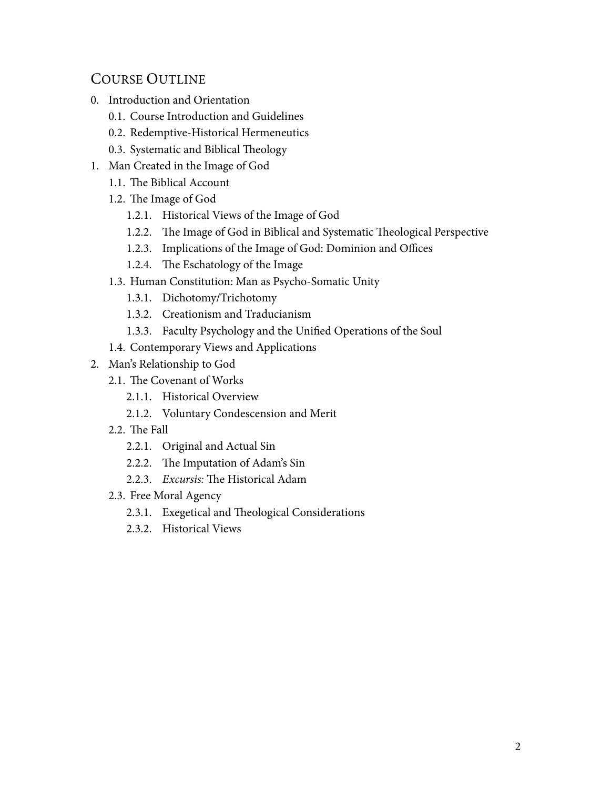# COURSE OUTLINE

- 0. Introduction and Orientation
	- 0.1. Course Introduction and Guidelines
	- 0.2. Redemptive-Historical Hermeneutics
	- 0.3. Systematic and Biblical Theology
- 1. Man Created in the Image of God
	- 1.1. The Biblical Account
	- 1.2. The Image of God
		- 1.2.1. Historical Views of the Image of God
		- 1.2.2. The Image of God in Biblical and Systematic Theological Perspective
		- 1.2.3. Implications of the Image of God: Dominion and Offices
		- 1.2.4. The Eschatology of the Image
	- 1.3. Human Constitution: Man as Psycho-Somatic Unity
		- 1.3.1. Dichotomy/Trichotomy
		- 1.3.2. Creationism and Traducianism
		- 1.3.3. Faculty Psychology and the Unified Operations of the Soul
	- 1.4. Contemporary Views and Applications
- 2. Man's Relationship to God
	- 2.1. The Covenant of Works
		- 2.1.1. Historical Overview
		- 2.1.2. Voluntary Condescension and Merit
	- 2.2. The Fall
		- 2.2.1. Original and Actual Sin
		- 2.2.2. The Imputation of Adam's Sin
		- 2.2.3. *Excursis:* The Historical Adam
	- 2.3. Free Moral Agency
		- 2.3.1. Exegetical and Theological Considerations
		- 2.3.2. Historical Views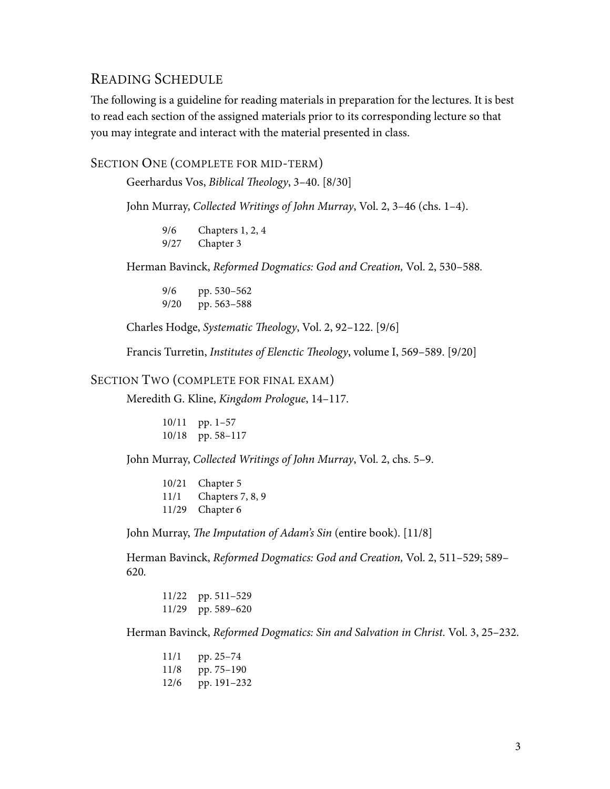### READING SCHEDULE

The following is a guideline for reading materials in preparation for the lectures. It is best to read each section of the assigned materials prior to its corresponding lecture so that you may integrate and interact with the material presented in class.

SECTION ONE (COMPLETE FOR MID-TERM)

Geerhardus Vos, *Biblical Theology*, 3–40. [8/30]

John Murray, *Collected Writings of John Murray*, Vol. 2, 3–46 (chs. 1–4).

9/6 Chapters 1, 2, 4 9/27 Chapter 3

Herman Bavinck, *Reformed Dogmatics: God and Creation,* Vol. 2, 530–588*.*

9/6 pp. 530–562 9/20 pp. 563–588

Charles Hodge, *Systematic Theology*, Vol. 2, 92–122. [9/6]

Francis Turretin, *Institutes of Elenctic Theology*, volume I, 569–589. [9/20]

#### SECTION TWO (COMPLETE FOR FINAL EXAM)

Meredith G. Kline, *Kingdom Prologue*, 14–117.

10/11 pp. 1–57 10/18 pp. 58–117

John Murray, *Collected Writings of John Murray*, Vol. 2, chs. 5–9.

| 10/21 | Chapter 5        |
|-------|------------------|
| 11/1  | Chapters 7, 8, 9 |
|       | 11/29 Chapter 6  |

John Murray, *The Imputation of Adam's Sin* (entire book). [11/8]

Herman Bavinck, *Reformed Dogmatics: God and Creation,* Vol. 2, 511–529; 589– 620*.*

11/22 pp. 511–529 11/29 pp. 589–620

Herman Bavinck, *Reformed Dogmatics: Sin and Salvation in Christ.* Vol. 3, 25–232.

11/1 pp. 25–74 11/8 pp. 75–190 12/6 pp. 191–232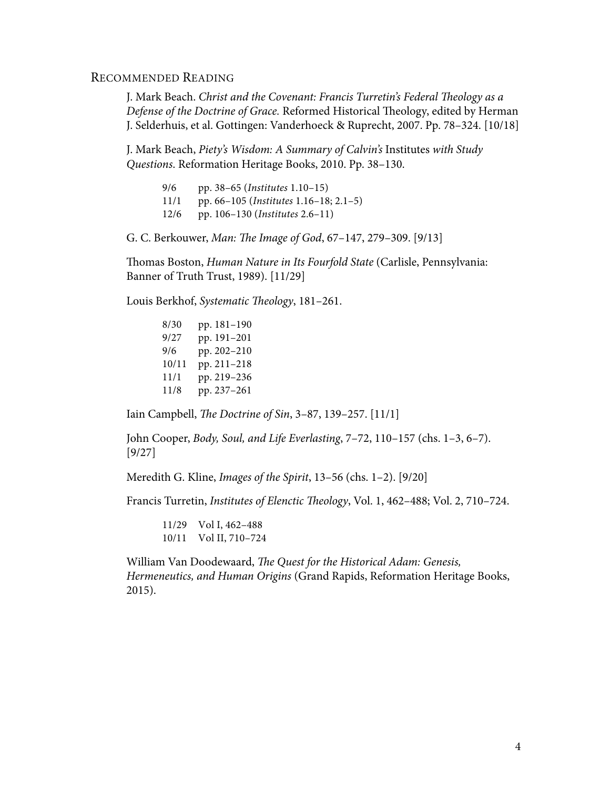#### RECOMMENDED READING

J. Mark Beach. *Christ and the Covenant: Francis Turretin's Federal Theology as a Defense of the Doctrine of Grace.* Reformed Historical Theology, edited by Herman J. Selderhuis, et al. Gottingen: Vanderhoeck & Ruprecht, 2007. Pp. 78–324. [10/18]

J. Mark Beach, *Piety's Wisdom: A Summary of Calvin's* Institutes *with Study Questions*. Reformation Heritage Books, 2010. Pp. 38–130.

| 9/6  | pp. $38-65$ ( <i>Institutes</i> 1.10–15)       |
|------|------------------------------------------------|
| 11/1 | pp. 66–105 ( <i>Institutes</i> 1.16–18; 2.1–5) |
| 12/6 | pp. 106-130 ( <i>Institutes</i> 2.6-11)        |

G. C. Berkouwer, *Man: The Image of God*, 67–147, 279–309. [9/13]

Thomas Boston, *Human Nature in Its Fourfold State* (Carlisle, Pennsylvania: Banner of Truth Trust, 1989). [11/29]

Louis Berkhof, *Systematic Theology*, 181–261.

8/30 pp. 181–190 9/27 pp. 191–201 9/6 pp. 202–210 10/11 pp. 211–218 11/1 pp. 219–236 11/8 pp. 237–261

Iain Campbell, *The Doctrine of Sin*, 3–87, 139–257. [11/1]

John Cooper, *Body, Soul, and Life Everlasting*, 7–72, 110–157 (chs. 1–3, 6–7). [9/27]

Meredith G. Kline, *Images of the Spirit*, 13–56 (chs. 1–2). [9/20]

Francis Turretin, *Institutes of Elenctic Theology*, Vol. 1, 462–488; Vol. 2, 710–724.

11/29 Vol I, 462–488 10/11 Vol II, 710–724

William Van Doodewaard, *The Quest for the Historical Adam: Genesis, Hermeneutics, and Human Origins* (Grand Rapids, Reformation Heritage Books, 2015).